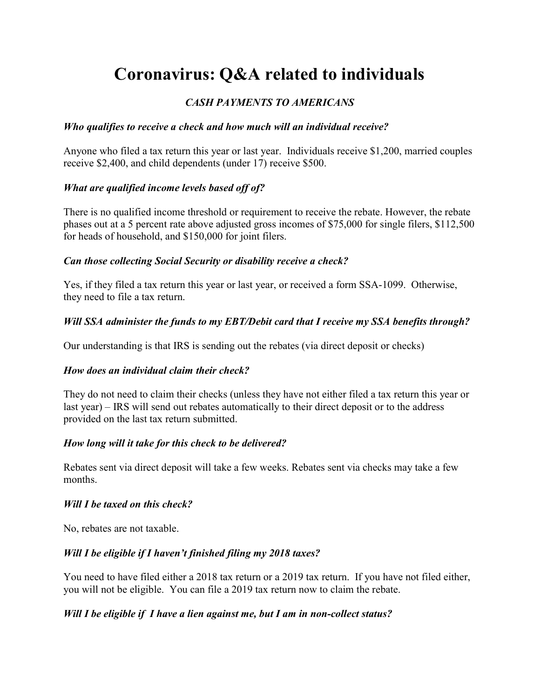# Coronavirus: Q&A related to individuals

# CASH PAYMENTS TO AMERICANS

# Who qualifies to receive a check and how much will an individual receive?

Anyone who filed a tax return this year or last year. Individuals receive \$1,200, married couples receive \$2,400, and child dependents (under 17) receive \$500.

# What are qualified income levels based off of?

There is no qualified income threshold or requirement to receive the rebate. However, the rebate phases out at a 5 percent rate above adjusted gross incomes of \$75,000 for single filers, \$112,500 for heads of household, and \$150,000 for joint filers.

## Can those collecting Social Security or disability receive a check?

Yes, if they filed a tax return this year or last year, or received a form SSA-1099. Otherwise, they need to file a tax return.

# Will SSA administer the funds to my EBT/Debit card that I receive my SSA benefits through?

Our understanding is that IRS is sending out the rebates (via direct deposit or checks)

# How does an individual claim their check?

They do not need to claim their checks (unless they have not either filed a tax return this year or last year) – IRS will send out rebates automatically to their direct deposit or to the address provided on the last tax return submitted.

# How long will it take for this check to be delivered?

Rebates sent via direct deposit will take a few weeks. Rebates sent via checks may take a few months.

#### Will I be taxed on this check?

No, rebates are not taxable.

# Will I be eligible if I haven't finished filing my 2018 taxes?

You need to have filed either a 2018 tax return or a 2019 tax return. If you have not filed either, you will not be eligible. You can file a 2019 tax return now to claim the rebate.

# Will I be eligible if I have a lien against me, but I am in non-collect status?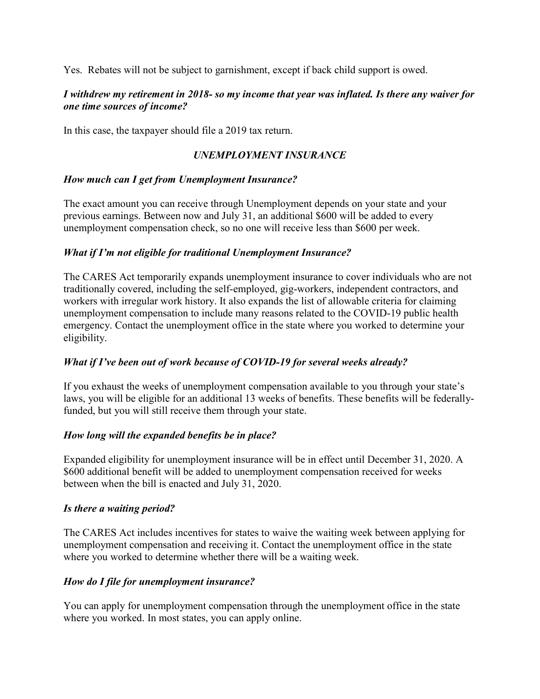Yes. Rebates will not be subject to garnishment, except if back child support is owed.

## I withdrew my retirement in 2018- so my income that year was inflated. Is there any waiver for one time sources of income?

In this case, the taxpayer should file a 2019 tax return.

# UNEMPLOYMENT INSURANCE

## How much can I get from Unemployment Insurance?

The exact amount you can receive through Unemployment depends on your state and your previous earnings. Between now and July 31, an additional \$600 will be added to every unemployment compensation check, so no one will receive less than \$600 per week.

## What if I'm not eligible for traditional Unemployment Insurance?

The CARES Act temporarily expands unemployment insurance to cover individuals who are not traditionally covered, including the self-employed, gig-workers, independent contractors, and workers with irregular work history. It also expands the list of allowable criteria for claiming unemployment compensation to include many reasons related to the COVID-19 public health emergency. Contact the unemployment office in the state where you worked to determine your eligibility.

# What if I've been out of work because of COVID-19 for several weeks already?

If you exhaust the weeks of unemployment compensation available to you through your state's laws, you will be eligible for an additional 13 weeks of benefits. These benefits will be federallyfunded, but you will still receive them through your state.

# How long will the expanded benefits be in place?

Expanded eligibility for unemployment insurance will be in effect until December 31, 2020. A \$600 additional benefit will be added to unemployment compensation received for weeks between when the bill is enacted and July 31, 2020.

#### Is there a waiting period?

The CARES Act includes incentives for states to waive the waiting week between applying for unemployment compensation and receiving it. Contact the unemployment office in the state where you worked to determine whether there will be a waiting week.

# How do I file for unemployment insurance?

You can apply for unemployment compensation through the unemployment office in the state where you worked. In most states, you can apply online.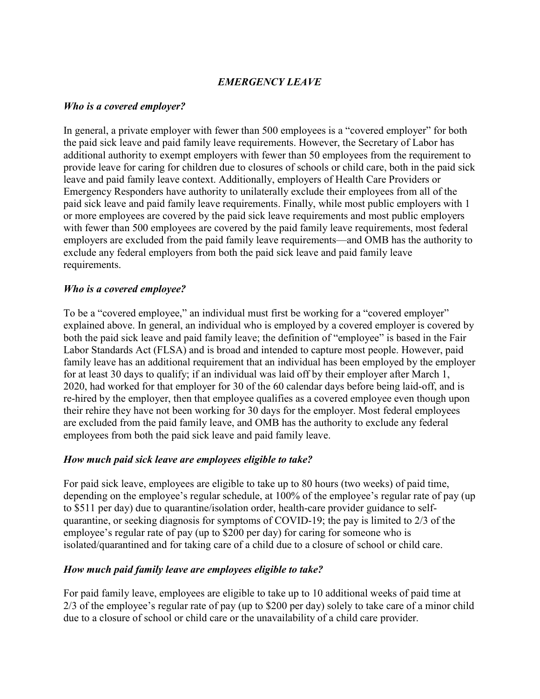# EMERGENCY LEAVE

#### Who is a covered employer?

In general, a private employer with fewer than 500 employees is a "covered employer" for both the paid sick leave and paid family leave requirements. However, the Secretary of Labor has additional authority to exempt employers with fewer than 50 employees from the requirement to provide leave for caring for children due to closures of schools or child care, both in the paid sick leave and paid family leave context. Additionally, employers of Health Care Providers or Emergency Responders have authority to unilaterally exclude their employees from all of the paid sick leave and paid family leave requirements. Finally, while most public employers with 1 or more employees are covered by the paid sick leave requirements and most public employers with fewer than 500 employees are covered by the paid family leave requirements, most federal employers are excluded from the paid family leave requirements—and OMB has the authority to exclude any federal employers from both the paid sick leave and paid family leave requirements.

#### Who is a covered employee?

To be a "covered employee," an individual must first be working for a "covered employer" explained above. In general, an individual who is employed by a covered employer is covered by both the paid sick leave and paid family leave; the definition of "employee" is based in the Fair Labor Standards Act (FLSA) and is broad and intended to capture most people. However, paid family leave has an additional requirement that an individual has been employed by the employer for at least 30 days to qualify; if an individual was laid off by their employer after March 1, 2020, had worked for that employer for 30 of the 60 calendar days before being laid-off, and is re-hired by the employer, then that employee qualifies as a covered employee even though upon their rehire they have not been working for 30 days for the employer. Most federal employees are excluded from the paid family leave, and OMB has the authority to exclude any federal employees from both the paid sick leave and paid family leave.

#### How much paid sick leave are employees eligible to take?

For paid sick leave, employees are eligible to take up to 80 hours (two weeks) of paid time, depending on the employee's regular schedule, at 100% of the employee's regular rate of pay (up to \$511 per day) due to quarantine/isolation order, health-care provider guidance to selfquarantine, or seeking diagnosis for symptoms of COVID-19; the pay is limited to 2/3 of the employee's regular rate of pay (up to \$200 per day) for caring for someone who is isolated/quarantined and for taking care of a child due to a closure of school or child care.

#### How much paid family leave are employees eligible to take?

For paid family leave, employees are eligible to take up to 10 additional weeks of paid time at 2/3 of the employee's regular rate of pay (up to \$200 per day) solely to take care of a minor child due to a closure of school or child care or the unavailability of a child care provider.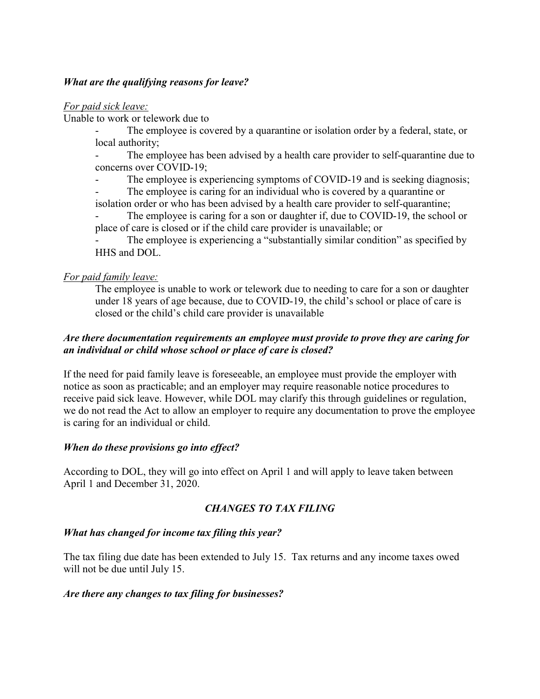## What are the qualifying reasons for leave?

For paid sick leave:

Unable to work or telework due to

The employee is covered by a quarantine or isolation order by a federal, state, or local authority;

- The employee has been advised by a health care provider to self-quarantine due to concerns over COVID-19;

- The employee is experiencing symptoms of COVID-19 and is seeking diagnosis;

The employee is caring for an individual who is covered by a quarantine or isolation order or who has been advised by a health care provider to self-quarantine;

The employee is caring for a son or daughter if, due to COVID-19, the school or place of care is closed or if the child care provider is unavailable; or

The employee is experiencing a "substantially similar condition" as specified by HHS and DOL.

## For paid family leave:

The employee is unable to work or telework due to needing to care for a son or daughter under 18 years of age because, due to COVID-19, the child's school or place of care is closed or the child's child care provider is unavailable

## Are there documentation requirements an employee must provide to prove they are caring for an individual or child whose school or place of care is closed?

If the need for paid family leave is foreseeable, an employee must provide the employer with notice as soon as practicable; and an employer may require reasonable notice procedures to receive paid sick leave. However, while DOL may clarify this through guidelines or regulation, we do not read the Act to allow an employer to require any documentation to prove the employee is caring for an individual or child.

# When do these provisions go into effect?

According to DOL, they will go into effect on April 1 and will apply to leave taken between April 1 and December 31, 2020.

# CHANGES TO TAX FILING

# What has changed for income tax filing this year?

The tax filing due date has been extended to July 15. Tax returns and any income taxes owed will not be due until July 15.

#### Are there any changes to tax filing for businesses?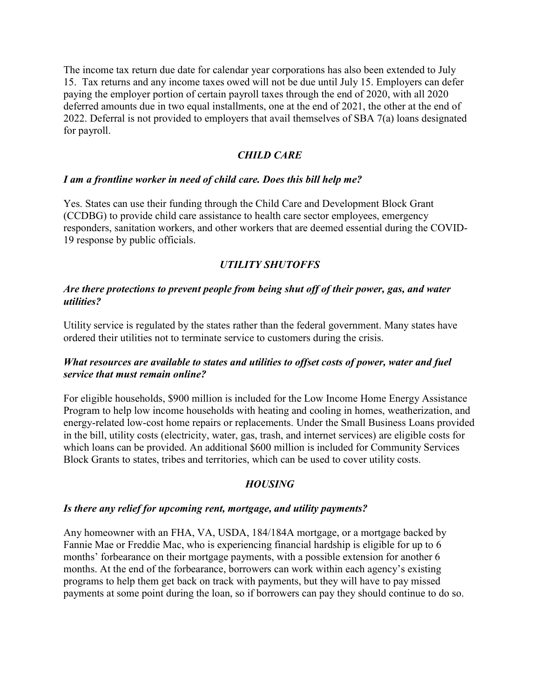The income tax return due date for calendar year corporations has also been extended to July 15. Tax returns and any income taxes owed will not be due until July 15. Employers can defer paying the employer portion of certain payroll taxes through the end of 2020, with all 2020 deferred amounts due in two equal installments, one at the end of 2021, the other at the end of 2022. Deferral is not provided to employers that avail themselves of SBA 7(a) loans designated for payroll.

## CHILD CARE

#### I am a frontline worker in need of child care. Does this bill help me?

Yes. States can use their funding through the Child Care and Development Block Grant (CCDBG) to provide child care assistance to health care sector employees, emergency responders, sanitation workers, and other workers that are deemed essential during the COVID-19 response by public officials.

# UTILITY SHUTOFFS

#### Are there protections to prevent people from being shut off of their power, gas, and water utilities?

Utility service is regulated by the states rather than the federal government. Many states have ordered their utilities not to terminate service to customers during the crisis.

## What resources are available to states and utilities to offset costs of power, water and fuel service that must remain online?

For eligible households, \$900 million is included for the Low Income Home Energy Assistance Program to help low income households with heating and cooling in homes, weatherization, and energy-related low-cost home repairs or replacements. Under the Small Business Loans provided in the bill, utility costs (electricity, water, gas, trash, and internet services) are eligible costs for which loans can be provided. An additional \$600 million is included for Community Services Block Grants to states, tribes and territories, which can be used to cover utility costs.

# **HOUSING**

#### Is there any relief for upcoming rent, mortgage, and utility payments?

Any homeowner with an FHA, VA, USDA, 184/184A mortgage, or a mortgage backed by Fannie Mae or Freddie Mac, who is experiencing financial hardship is eligible for up to 6 months' forbearance on their mortgage payments, with a possible extension for another 6 months. At the end of the forbearance, borrowers can work within each agency's existing programs to help them get back on track with payments, but they will have to pay missed payments at some point during the loan, so if borrowers can pay they should continue to do so.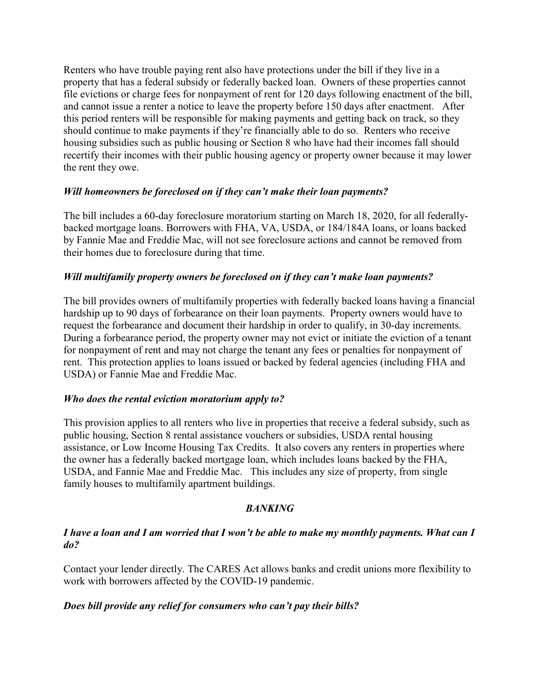Renters who have trouble paying rent also have protections under the bill if they live in a property that has a federal subsidy or federally backed loan. Owners of these properties cannot file evictions or charge fees for nonpayment of rent for 120 days following enactment of the bill, and cannot issue a renter a notice to leave the property before 150 days after enactment. After this period renters will be responsible for making payments and getting back on track, so they should continue to make payments if they're financially able to do so. Renters who receive housing subsidies such as public housing or Section 8 who have had their incomes fall should recertify their incomes with their public housing agency or property owner because it may lower the rent they owe.

## Will homeowners be foreclosed on if they can't make their loan payments?

The bill includes a 60-day foreclosure moratorium starting on March 18, 2020, for all federallybacked mortgage loans. Borrowers with FHA, VA, USDA, or 184/184A loans, or loans backed by Fannie Mae and Freddie Mac, will not see foreclosure actions and cannot be removed from their homes due to foreclosure during that time.

## Will multifamily property owners be foreclosed on if they can't make loan payments?

The bill provides owners of multifamily properties with federally backed loans having a financial hardship up to 90 days of forbearance on their loan payments. Property owners would have to request the forbearance and document their hardship in order to qualify, in 30-day increments. During a forbearance period, the property owner may not evict or initiate the eviction of a tenant for nonpayment of rent and may not charge the tenant any fees or penalties for nonpayment of rent. This protection applies to loans issued or backed by federal agencies (including FHA and USDA) or Fannie Mae and Freddie Mac.

#### Who does the rental eviction moratorium apply to?

This provision applies to all renters who live in properties that receive a federal subsidy, such as public housing, Section 8 rental assistance vouchers or subsidies, USDA rental housing assistance, or Low Income Housing Tax Credits. It also covers any renters in properties where the owner has a federally backed mortgage loan, which includes loans backed by the FHA, USDA, and Fannie Mae and Freddie Mac. This includes any size of property, from single family houses to multifamily apartment buildings.

#### **BANKING**

## I have a loan and I am worried that I won't be able to make my monthly payments. What can I do?

Contact your lender directly. The CARES Act allows banks and credit unions more flexibility to work with borrowers affected by the COVID-19 pandemic.

#### Does bill provide any relief for consumers who can't pay their bills?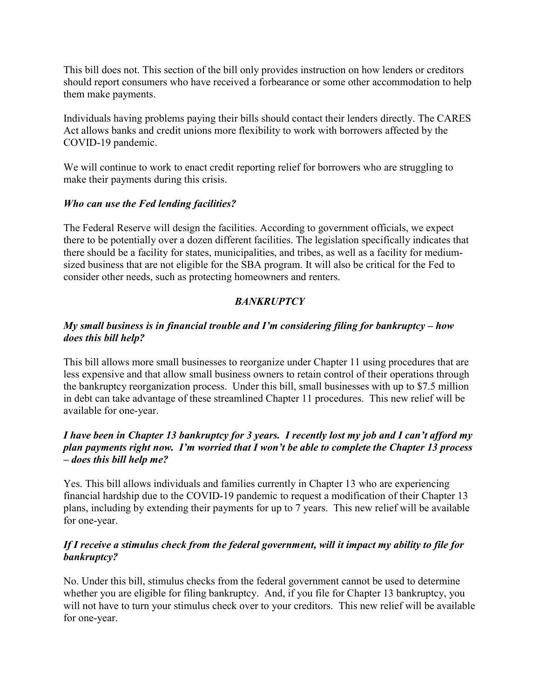This bill does not. This section of the bill only provides instruction on how lenders or creditors should report consumers who have received a forbearance or some other accommodation to help them make payments.

Individuals having problems paying their bills should contact their lenders directly. The CARES Act allows banks and credit unions more flexibility to work with borrowers affected by the COVID-19 pandemic.

We will continue to work to enact credit reporting relief for borrowers who are struggling to make their payments during this crisis.

# Who can use the Fed lending facilities?

The Federal Reserve will design the facilities. According to government officials, we expect there to be potentially over a dozen different facilities. The legislation specifically indicates that there should be a facility for states, municipalities, and tribes, as well as a facility for mediumsized business that are not eligible for the SBA program. It will also be critical for the Fed to consider other needs, such as protecting homeowners and renters.

# **BANKRUPTCY**

# My small business is in financial trouble and  $\Gamma$ m considering filing for bankruptcy – how does this bill help?

This bill allows more small businesses to reorganize under Chapter 11 using procedures that are less expensive and that allow small business owners to retain control of their operations through the bankruptcy reorganization process. Under this bill, small businesses with up to \$7.5 million in debt can take advantage of these streamlined Chapter 11 procedures. This new relief will be available for one-year.

# I have been in Chapter 13 bankruptcy for 3 years. I recently lost my job and I can't afford my plan payments right now. I'm worried that I won't be able to complete the Chapter 13 process – does this bill help me?

Yes. This bill allows individuals and families currently in Chapter 13 who are experiencing financial hardship due to the COVID-19 pandemic to request a modification of their Chapter 13 plans, including by extending their payments for up to 7 years. This new relief will be available for one-year.

# If I receive a stimulus check from the federal government, will it impact my ability to file for bankruptcy?

No. Under this bill, stimulus checks from the federal government cannot be used to determine whether you are eligible for filing bankruptcy. And, if you file for Chapter 13 bankruptcy, you will not have to turn your stimulus check over to your creditors. This new relief will be available for one-year.